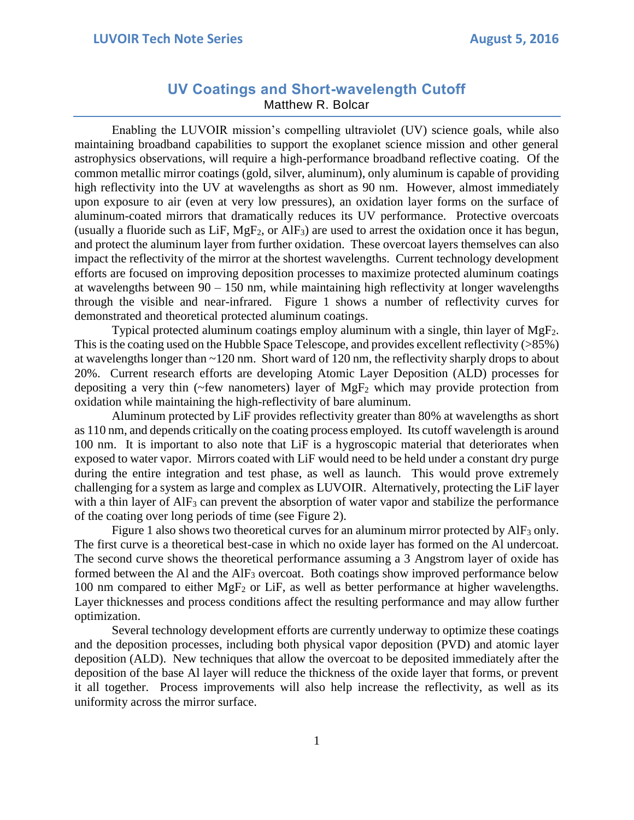## **UV Coatings and Short-wavelength Cutoff** Matthew R. Bolcar

Enabling the LUVOIR mission's compelling ultraviolet (UV) science goals, while also maintaining broadband capabilities to support the exoplanet science mission and other general astrophysics observations, will require a high-performance broadband reflective coating. Of the common metallic mirror coatings (gold, silver, aluminum), only aluminum is capable of providing high reflectivity into the UV at wavelengths as short as 90 nm. However, almost immediately upon exposure to air (even at very low pressures), an oxidation layer forms on the surface of aluminum-coated mirrors that dramatically reduces its UV performance. Protective overcoats (usually a fluoride such as LiF,  $MgF_2$ , or AlF<sub>3</sub>) are used to arrest the oxidation once it has begun, and protect the aluminum layer from further oxidation. These overcoat layers themselves can also impact the reflectivity of the mirror at the shortest wavelengths. Current technology development efforts are focused on improving deposition processes to maximize protected aluminum coatings at wavelengths between 90 – 150 nm, while maintaining high reflectivity at longer wavelengths through the visible and near-infrared. Figure 1 shows a number of reflectivity curves for demonstrated and theoretical protected aluminum coatings.

Typical protected aluminum coatings employ aluminum with a single, thin layer of  $MgF_2$ . This is the coating used on the Hubble Space Telescope, and provides excellent reflectivity (>85%) at wavelengths longer than ~120 nm. Short ward of 120 nm, the reflectivity sharply drops to about 20%. Current research efforts are developing Atomic Layer Deposition (ALD) processes for depositing a very thin ( $\sim$ few nanometers) layer of MgF<sub>2</sub> which may provide protection from oxidation while maintaining the high-reflectivity of bare aluminum.

Aluminum protected by LiF provides reflectivity greater than 80% at wavelengths as short as 110 nm, and depends critically on the coating process employed. Its cutoff wavelength is around 100 nm. It is important to also note that LiF is a hygroscopic material that deteriorates when exposed to water vapor. Mirrors coated with LiF would need to be held under a constant dry purge during the entire integration and test phase, as well as launch. This would prove extremely challenging for a system as large and complex as LUVOIR. Alternatively, protecting the LiF layer with a thin layer of AlF<sub>3</sub> can prevent the absorption of water vapor and stabilize the performance of the coating over long periods of time (see Figure 2).

Figure 1 also shows two theoretical curves for an aluminum mirror protected by  $\text{AlF}_3$  only. The first curve is a theoretical best-case in which no oxide layer has formed on the Al undercoat. The second curve shows the theoretical performance assuming a 3 Angstrom layer of oxide has formed between the Al and the AlF<sub>3</sub> overcoat. Both coatings show improved performance below 100 nm compared to either  $MgF_2$  or LiF, as well as better performance at higher wavelengths. Layer thicknesses and process conditions affect the resulting performance and may allow further optimization.

Several technology development efforts are currently underway to optimize these coatings and the deposition processes, including both physical vapor deposition (PVD) and atomic layer deposition (ALD). New techniques that allow the overcoat to be deposited immediately after the deposition of the base Al layer will reduce the thickness of the oxide layer that forms, or prevent it all together. Process improvements will also help increase the reflectivity, as well as its uniformity across the mirror surface.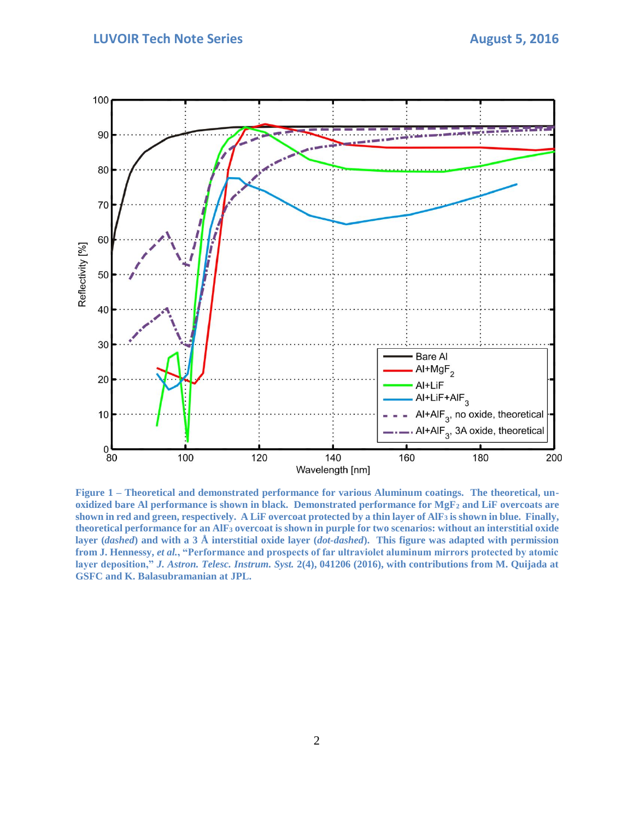## **LUVOIR Tech Note Series August 5, 2016**



**Figure 1 – Theoretical and demonstrated performance for various Aluminum coatings. The theoretical, unoxidized bare Al performance is shown in black. Demonstrated performance for MgF<sup>2</sup> and LiF overcoats are shown in red and green, respectively. A LiF overcoat protected by a thin layer of AlF<sup>3</sup> is shown in blue. Finally, theoretical performance for an AlF<sup>3</sup> overcoat is shown in purple for two scenarios: without an interstitial oxide layer (***dashed***) and with a 3 Å interstitial oxide layer (***dot-dashed***). This figure was adapted with permission from J. Hennessy,** *et al.***, "Performance and prospects of far ultraviolet aluminum mirrors protected by atomic layer deposition,"** *J. Astron. Telesc. Instrum. Syst.* **2(4), 041206 (2016), with contributions from M. Quijada at GSFC and K. Balasubramanian at JPL.**